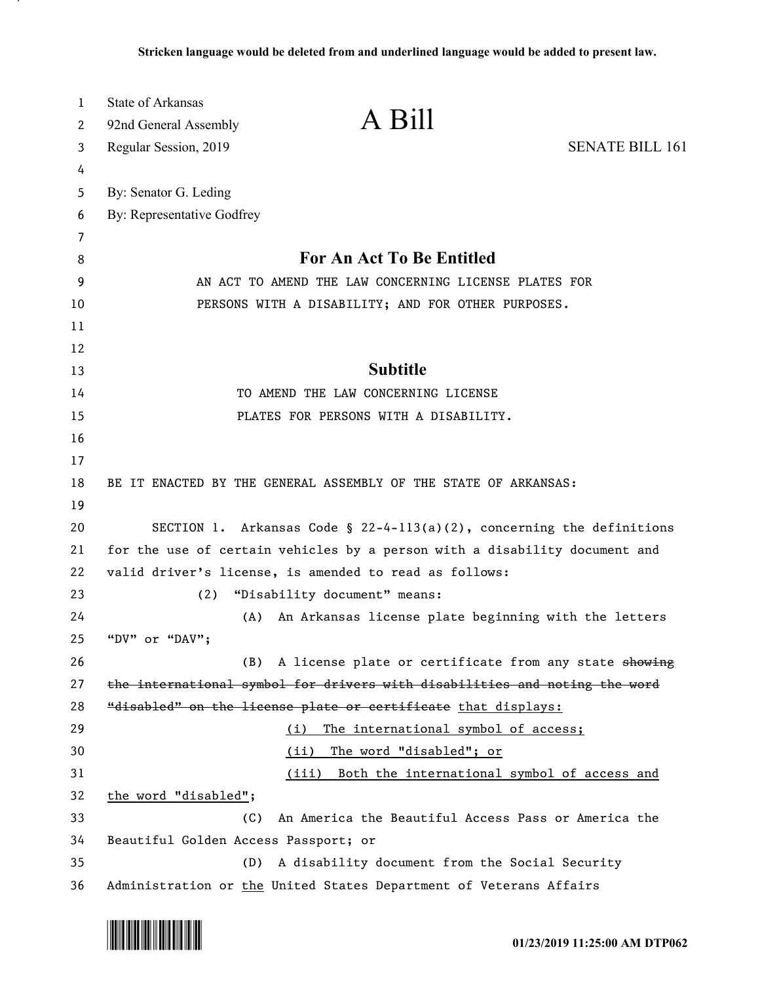| 1        | <b>State of Arkansas</b>                                                                      |  |
|----------|-----------------------------------------------------------------------------------------------|--|
| 2        | A Bill<br>92nd General Assembly                                                               |  |
| 3        | <b>SENATE BILL 161</b><br>Regular Session, 2019                                               |  |
| 4        |                                                                                               |  |
| 5        | By: Senator G. Leding                                                                         |  |
| 6        | By: Representative Godfrey                                                                    |  |
| 7        | For An Act To Be Entitled                                                                     |  |
| 8        | AN ACT TO AMEND THE LAW CONCERNING LICENSE PLATES FOR                                         |  |
| 9<br>10  |                                                                                               |  |
| 11       | PERSONS WITH A DISABILITY; AND FOR OTHER PURPOSES.                                            |  |
| 12       |                                                                                               |  |
| 13       | <b>Subtitle</b>                                                                               |  |
| 14       | TO AMEND THE LAW CONCERNING LICENSE                                                           |  |
| 15       | PLATES FOR PERSONS WITH A DISABILITY.                                                         |  |
| 16       |                                                                                               |  |
| 17       |                                                                                               |  |
| 18       | BE IT ENACTED BY THE GENERAL ASSEMBLY OF THE STATE OF ARKANSAS:                               |  |
| 19       |                                                                                               |  |
| 20       | SECTION 1. Arkansas Code § 22-4-113(a)(2), concerning the definitions                         |  |
| 21       | for the use of certain vehicles by a person with a disability document and                    |  |
| 22       | valid driver's license, is amended to read as follows:                                        |  |
| 23       | "Disability document" means:<br>(2)                                                           |  |
| 24       | An Arkansas license plate beginning with the letters<br>(A)                                   |  |
| 25       | "DV" or "DAV";                                                                                |  |
| 26       | A license plate or certificate from any state showing<br>(B)                                  |  |
| 27       | the international symbol for drivers with disabilities and noting the word                    |  |
| 28       | "disabled" on the license plate or certificate that displays:                                 |  |
| 29       | The international symbol of access;<br>(i)                                                    |  |
| 30       | (ii)<br>The word "disabled"; or                                                               |  |
| 31       | (iii)<br>Both the international symbol of access and                                          |  |
| 32       | the word "disabled";                                                                          |  |
| 33       | An America the Beautiful Access Pass or America the<br>(C)                                    |  |
| 34<br>35 | Beautiful Golden Access Passport; or<br>A disability document from the Social Security<br>(D) |  |
| 36       | Administration or the United States Department of Veterans Affairs                            |  |